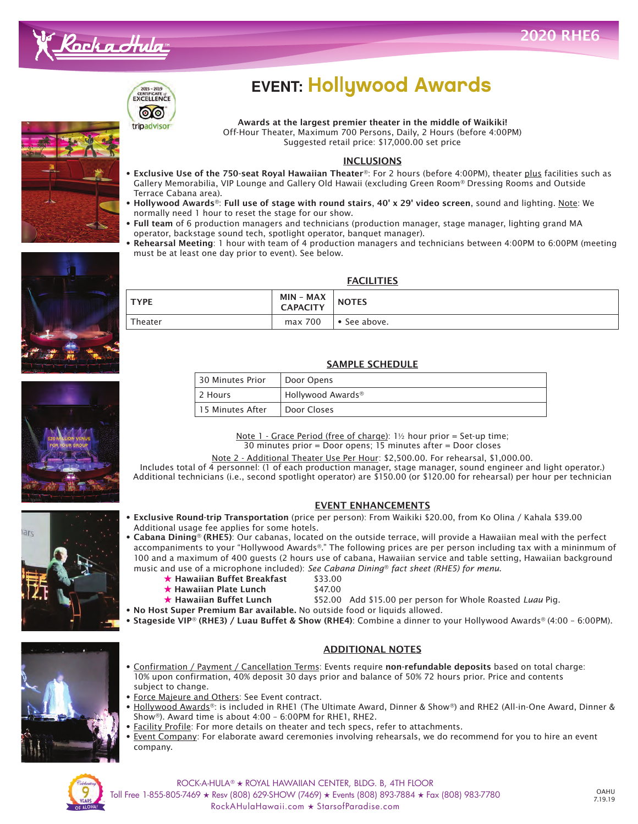



## **EVENT: Hollywood Awards**

Awards at the largest premier theater in the middle of Waikiki! Awards at the largest premier theater in the middle of Waikiki!<br>Off-Hour Theater, Maximum 700 Persons, Daily, 2 Hours (before 4:00PM) Suggested retail price: \$17,000.00 set price

## **INCLUSIONS**

- Exclusive Use of the 750-seat Royal Hawaiian Theater®: For 2 hours (before 4:00PM), theater plus facilities such as Gallery Memorabilia, VIP Lounge and Gallery Old Hawaii (excluding Green Room® Dressing Rooms and Outside Terrace Cabana area).
- Hollywood Awards®: Full use of stage with round stairs, 40' x 29' video screen, sound and lighting. Note: We normally need 1 hour to reset the stage for our show.
- Full team of 6 production managers and technicians (production manager, stage manager, lighting grand MA operator, backstage sound tech, spotlight operator, banquet manager).

MIN - MAA NOTES

• Rehearsal Meeting: 1 hour with team of 4 production managers and technicians between 4:00PM to 6:00PM (meeting must be at least one day prior to event). See below.

**FACILITIES** 

SAMPLE SCHEDULE

Note  $1$  - Grace Period (free of charge):  $1\frac{1}{2}$  hour prior = Set-up time; 30 minutes prior = Door opens; 15 minutes after = Door closes Note 2 - Additional Theater Use Per Hour: \$2,500.00. For rehearsal, \$1,000.00. Includes total of 4 personnel: (1 of each production manager, stage manager, sound engineer and light operator.) Additional technicians (i.e., second spotlight operator) are \$150.00 (or \$120.00 for rehearsal) per hour per technician

EVENT ENHANCEMENTS











• Cabana Dining® (RHE5): Our cabanas, located on the outside terrace, will provide a Hawaiian meal with the perfect accompaniments to your "Hollywood Awards®." The following prices are per person including tax with a mininmum of

30 Minutes Prior Door Opens

Theater max 700 • See above.

 $\begin{array}{ccc} TYPE & \text{MAX} \\ \text{MIN} - \text{MAX} \end{array}$ 

15 Minutes After | Door Closes

2 Hours Hollywood Awards**®**

- 100 and a maximum of 400 guests (2 hours use of cabana, Hawaiian service and table setting, Hawaiian background music and use of a microphone included): *See Cabana Dining*® *fact sheet (RHE5) for menu*.
	- ★ Hawaiian Buffet Breakfast  $$33.00$ <br>★ Hawaiian Plate Lunch  $$47.00$
	- ★ Hawaiian Plate Lunch<br>★ Hawaiian Buffet Lunch
		-
- \$52.00 Add \$15.00 per person for Whole Roasted *Luau* Pig.
- No Host Super Premium Bar available. No outside food or liquids allowed.
- Stageside VIP® (RHE3) / Luau Buffet & Show (RHE4): Combine a dinner to your Hollywood Awards® (4:00 6:00PM).



## ADDITIONAL NOTES

- Confirmation / Payment / Cancellation Terms: Events require non-refundable deposits based on total charge: 10% upon confirmation, 40% deposit 30 days prior and balance of 50% 72 hours prior. Price and contents subject to change.
- Force Majeure and Others: See Event contract.
- Hollywood Awards®: is included in RHE1 (The Ultimate Award, Dinner & Show®) and RHE2 (All-in-One Award, Dinner & Show®). Award time is about 4:00 – 6:00PM for RHE1, RHE2.
- Facility Profile: For more details on theater and tech specs, refer to attachments.
- Event Company: For elaborate award ceremonies involving rehearsals, we do recommend for you to hire an event company.